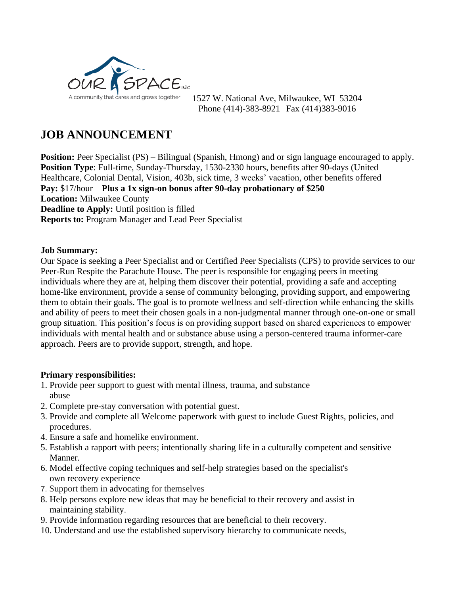

1527 W. National Ave, Milwaukee, WI 53204 Phone (414)-383-8921 Fax (414)383-9016

## **JOB ANNOUNCEMENT**

**Position:** Peer Specialist (PS) – Bilingual (Spanish, Hmong) and or sign language encouraged to apply. **Position Type**: Full-time, Sunday-Thursday, 1530-2330 hours, benefits after 90-days (United Healthcare, Colonial Dental, Vision, 403b, sick time, 3 weeks' vacation, other benefits offered **Pay:** \$17/hour **Plus a 1x sign-on bonus after 90-day probationary of \$250 Location:** Milwaukee County **Deadline to Apply:** Until position is filled **Reports to:** Program Manager and Lead Peer Specialist

## **Job Summary:**

Our Space is seeking a Peer Specialist and or Certified Peer Specialists (CPS) to provide services to our Peer-Run Respite the Parachute House. The peer is responsible for engaging peers in meeting individuals where they are at, helping them discover their potential, providing a safe and accepting home-like environment, provide a sense of community belonging, providing support, and empowering them to obtain their goals. The goal is to promote wellness and self-direction while enhancing the skills and ability of peers to meet their chosen goals in a non-judgmental manner through one-on-one or small group situation. This position's focus is on providing support based on shared experiences to empower individuals with mental health and or substance abuse using a person-centered trauma informer-care approach. Peers are to provide support, strength, and hope.

## **Primary responsibilities:**

- 1. Provide peer support to guest with mental illness, trauma, and substance abuse
- 2. Complete pre-stay conversation with potential guest.
- 3. Provide and complete all Welcome paperwork with guest to include Guest Rights, policies, and procedures.
- 4. Ensure a safe and homelike environment.
- 5. Establish a rapport with peers; intentionally sharing life in a culturally competent and sensitive Manner.
- 6. Model effective [coping techniques](https://en.wikipedia.org/wiki/Coping_skills) and [self-help](https://en.wikipedia.org/wiki/Self-help) strategies based on the specialist's own recovery experience
- 7. Support them in [advocating](https://en.wikipedia.org/wiki/Self-advocacy) for themselves
- 8. Help persons explore new ideas that may be beneficial to their recovery and assist in maintaining stability.
- 9. Provide information regarding resources that are beneficial to their recovery.
- 10. Understand and use the established supervisory hierarchy to communicate needs,